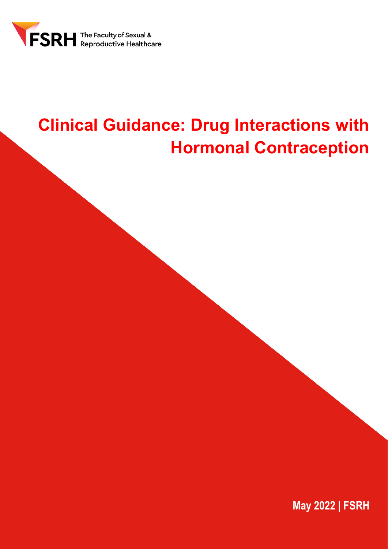

# **Clinical Guidance: Drug Interactions with Hormonal Contraception**

**May 2022 | FSRH**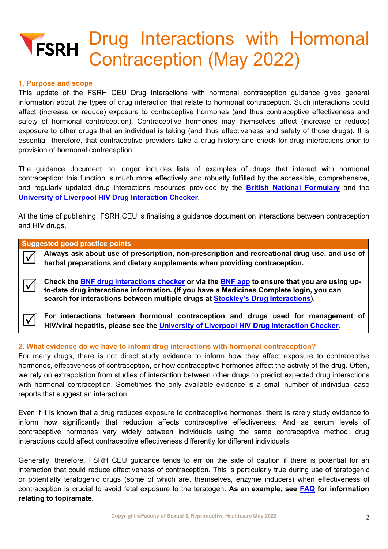# Drug Interactions with Hormonal **FSRH** Contraception (May 2022)

#### **1. Purpose and scope**

This update of the FSRH CEU Drug Interactions with hormonal contraception guidance gives general information about the types of drug interaction that relate to hormonal contraception. Such interactions could affect (increase or reduce) exposure to contraceptive hormones (and thus contraceptive effectiveness and safety of hormonal contraception). Contraceptive hormones may themselves affect (increase or reduce) exposure to other drugs that an individual is taking (and thus effectiveness and safety of those drugs). It is essential, therefore, that contraceptive providers take a drug history and check for drug interactions prior to provision of hormonal contraception.

The guidance document no longer includes lists of examples of drugs that interact with hormonal contraception: this function is much more effectively and robustly fulfilled by the accessible, comprehensive, and regularly updated drug interactions resources provided by the **[British National Formulary](https://bnf.nice.org.uk/interaction/)** and the **[University of Liverpool HIV Drug Interaction Checker](https://www.hiv-druginteractions.org/)**.

At the time of publishing, FSRH CEU is finalising a guidance document on interactions between contraception and HIV drugs.

#### **Suggested good practice points**

 **Always ask about use of prescription, non-prescription and recreational drug use, and use of herbal preparations and dietary supplements when providing contraception.**

Check the **BNF drug interactions checker** or via the **BNF app** to ensure that you are using upto-<br>to-date drug interactions information. (If you have a Medicines Complete login, you can **search for interactions between multiple drugs at [Stockley's Drug Interactions\).](https://about.medicinescomplete.com/publication/stockleys-drug-interactions/)**

**For interactions between hormonal contraception and drugs used for management of HIV/viral hepatitis, please see the <b>University of Liverpool HIV Drug Interaction Checker**.

### **2. What evidence do we have to inform drug interactions with hormonal contraception?**

For many drugs, there is not direct study evidence to inform how they affect exposure to contraceptive hormones, effectiveness of contraception, or how contraceptive hormones affect the activity of the drug. Often, we rely on extrapolation from studies of interaction between other drugs to predict expected drug interactions with hormonal contraception. Sometimes the only available evidence is a small number of individual case reports that suggest an interaction.

Even if it is known that a drug reduces exposure to contraceptive hormones, there is rarely study evidence to inform how significantly that reduction affects contraceptive effectiveness. And as serum levels of contraceptive hormones vary widely between individuals using the same contraceptive method, drug interactions could affect contraceptive effectiveness differently for different individuals.

Generally, therefore, FSRH CEU guidance tends to err on the side of caution if there is potential for an interaction that could reduce effectiveness of contraception. This is particularly true during use of teratogenic or potentially teratogenic drugs (some of which are, themselves, enzyme inducers) when effectiveness of contraception is crucial to avoid fetal exposure to the teratogen. **As an example, see [FAQ](#page-7-0) for information relating to topiramate.**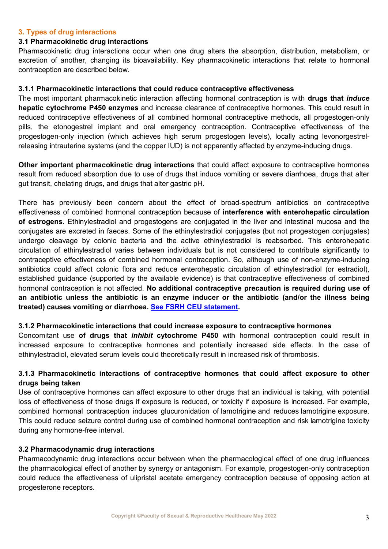# **3. Types of drug interactions**

#### **3.1 Pharmacokinetic drug interactions**

Pharmacokinetic drug interactions occur when one drug alters the absorption, distribution, metabolism, or excretion of another, changing its bioavailability. Key pharmacokinetic interactions that relate to hormonal contraception are described below.

#### <span id="page-2-0"></span>**3.1.1 Pharmacokinetic interactions that could reduce contraceptive effectiveness**

The most important pharmacokinetic interaction affecting hormonal contraception is with **drugs that** *induce* **hepatic cytochrome P450 enzymes** and increase clearance of contraceptive hormones. This could result in reduced contraceptive effectiveness of all combined hormonal contraceptive methods, all progestogen-only pills, the etonogestrel implant and oral emergency contraception. Contraceptive effectiveness of the progestogen-only injection (which achieves high serum progestogen levels), locally acting levonorgestrelreleasing intrauterine systems (and the copper IUD) is not apparently affected by enzyme-inducing drugs.

**Other important pharmacokinetic drug interactions** that could affect exposure to contraceptive hormones result from reduced absorption due to use of drugs that induce vomiting or severe diarrhoea, drugs that alter gut transit, chelating drugs, and drugs that alter gastric pH.

There has previously been concern about the effect of broad-spectrum antibiotics on contraceptive effectiveness of combined hormonal contraception because of **interference with enterohepatic circulation of estrogens**. Ethinylestradiol and progestogens are conjugated in the liver and intestinal mucosa and the conjugates are excreted in faeces. Some of the ethinylestradiol conjugates (but not progestogen conjugates) undergo cleavage by colonic bacteria and the active ethinylestradiol is reabsorbed. This enterohepatic circulation of ethinylestradiol varies between individuals but is not considered to contribute significantly to contraceptive effectiveness of combined hormonal contraception. So, although use of non-enzyme-inducing antibiotics could affect colonic flora and reduce enterohepatic circulation of ethinylestradiol (or estradiol), established guidance (supported by the available evidence) is that contraceptive effectiveness of combined hormonal contraception is not affected. **No additional contraceptive precaution is required during use of an antibiotic unless the antibiotic is an enzyme inducer or the antibiotic (and/or the illness being treated) causes vomiting or diarrhoea. See [FSRH CEU statement.](https://www.fsrh.org/standards-and-guidance/documents/fsrh-ceu-response-to-study-analysis-of-reports-of-unintended/)**

### **3.1.2 Pharmacokinetic interactions that could increase exposure to contraceptive hormones**

Concomitant use **of drugs that** *inhibit* **cytochrome P450** with hormonal contraception could result in increased exposure to contraceptive hormones and potentially increased side effects. In the case of ethinylestradiol, elevated serum levels could theoretically result in increased risk of thrombosis.

# **3.1.3 Pharmacokinetic interactions of contraceptive hormones that could affect exposure to other drugs being taken**

Use of contraceptive hormones can affect exposure to other drugs that an individual is taking, with potential loss of effectiveness of those drugs if exposure is reduced, or toxicity if exposure is increased. For example, combined hormonal contraception induces glucuronidation of lamotrigine and reduces lamotrigine exposure. This could reduce seizure control during use of combined hormonal contraception and risk lamotrigine toxicity during any hormone-free interval.

### **3.2 Pharmacodynamic drug interactions**

Pharmacodynamic drug interactions occur between when the pharmacological effect of one drug influences the pharmacological effect of another by synergy or antagonism. For example, progestogen-only contraception could reduce the effectiveness of ulipristal acetate emergency contraception because of opposing action at progesterone receptors.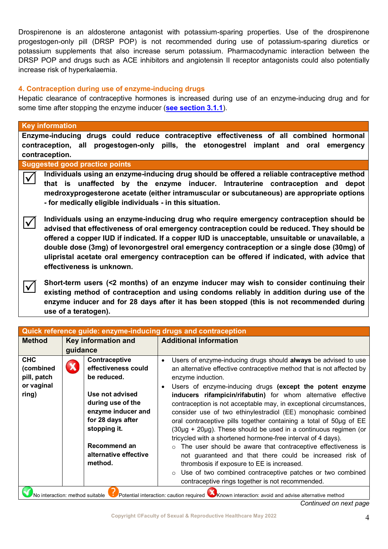Drospirenone is an aldosterone antagonist with potassium-sparing properties. Use of the drospirenone progestogen-only pill (DRSP POP) is not recommended during use of potassium-sparing diuretics or potassium supplements that also increase serum potassium. Pharmacodynamic interaction between the DRSP POP and drugs such as ACE inhibitors and angiotensin II receptor antagonists could also potentially increase risk of hyperkalaemia.

### **4. Contraception during use of enzyme-inducing drugs**

Hepatic clearance of contraceptive hormones is increased during use of an enzyme-inducing drug and for some time after stopping the enzyme inducer (**[see section 3.1.1](#page-2-0)**).

# **Key information**

**Enzyme-inducing drugs could reduce contraceptive effectiveness of all combined hormonal contraception, all progestogen-only pills, the etonogestrel implant and oral emergency contraception.** 

#### **Suggested good practice points**

 **Individuals using an enzyme-inducing drug should be offered a reliable contraceptive method that is unaffected by the enzyme inducer. Intrauterine contraception and depot medroxyprogesterone acetate (either intramuscular or subcutaneous) are appropriate options - for medically eligible individuals - in this situation.** 

 **Individuals using an enzyme-inducing drug who require emergency contraception should be advised that effectiveness of oral emergency contraception could be reduced. They should be offered a copper IUD if indicated. If a copper IUD is unacceptable, unsuitable or unavailable, a double dose (3mg) of levonorgestrel oral emergency contraception or a single dose (30mg) of ulipristal acetate oral emergency contraception can be offered if indicated, with advice that effectiveness is unknown.**

Short-term users (<2 months) of an enzyme inducer may wish to consider continuing their **existing method of contraception and using condoms reliably in addition during use of the enzyme inducer and for 28 days after it has been stopped (this is not recommended during use of a teratogen).** 

| Quick reference guide: enzyme-inducing drugs and contraception                                                                     |                                                                              |                                                                                                                                                                                                                                                                                                                                                       |                                                                                                                                                                                                                                                                                                        |  |  |
|------------------------------------------------------------------------------------------------------------------------------------|------------------------------------------------------------------------------|-------------------------------------------------------------------------------------------------------------------------------------------------------------------------------------------------------------------------------------------------------------------------------------------------------------------------------------------------------|--------------------------------------------------------------------------------------------------------------------------------------------------------------------------------------------------------------------------------------------------------------------------------------------------------|--|--|
| <b>Method</b>                                                                                                                      | Key information and                                                          |                                                                                                                                                                                                                                                                                                                                                       | <b>Additional information</b>                                                                                                                                                                                                                                                                          |  |  |
|                                                                                                                                    | guidance                                                                     |                                                                                                                                                                                                                                                                                                                                                       |                                                                                                                                                                                                                                                                                                        |  |  |
| <b>CHC</b><br>(combined<br>pill, patch<br>or vaginal<br>ring)                                                                      |                                                                              | Contraceptive<br>effectiveness could<br>be reduced.<br>Use not advised                                                                                                                                                                                                                                                                                | Users of enzyme-inducing drugs should always be advised to use<br>$\bullet$<br>an alternative effective contraceptive method that is not affected by<br>enzyme induction.<br>Users of enzyme-inducing drugs (except the potent enzyme<br>inducers rifampicin/rifabutin) for whom alternative effective |  |  |
|                                                                                                                                    | during use of the<br>enzyme inducer and<br>for 28 days after<br>stopping it. | contraception is not acceptable may, in exceptional circumstances,<br>consider use of two ethinylestradiol (EE) monophasic combined<br>oral contraceptive pills together containing a total of 50µg of EE<br>$(30\mu g + 20\mu g)$ . These should be used in a continuous regimen (or<br>tricycled with a shortened hormone-free interval of 4 days). |                                                                                                                                                                                                                                                                                                        |  |  |
|                                                                                                                                    |                                                                              | Recommend an<br>alternative effective<br>method.                                                                                                                                                                                                                                                                                                      | The user should be aware that contraceptive effectiveness is<br>$\circ$<br>not guaranteed and that there could be increased risk of<br>thrombosis if exposure to EE is increased.<br>Use of two combined contraceptive patches or two combined<br>contraceptive rings together is not recommended.     |  |  |
| No interaction: method suitable Copotential interaction: caution required Coknown interaction: avoid and advise alternative method |                                                                              |                                                                                                                                                                                                                                                                                                                                                       |                                                                                                                                                                                                                                                                                                        |  |  |

*Continued on next page*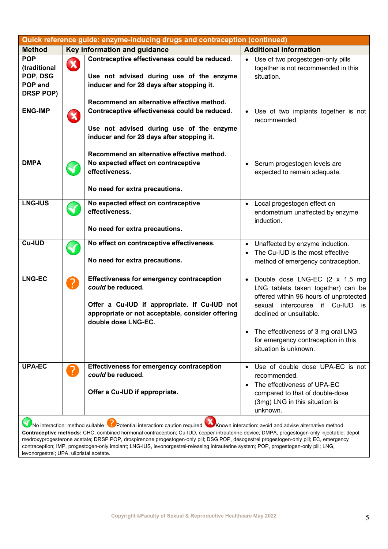| Quick reference guide: enzyme-inducing drugs and contraception (continued)                                                        |              |                                                                                                                                                                                                                                                                               |                                                                   |  |  |
|-----------------------------------------------------------------------------------------------------------------------------------|--------------|-------------------------------------------------------------------------------------------------------------------------------------------------------------------------------------------------------------------------------------------------------------------------------|-------------------------------------------------------------------|--|--|
| <b>Method</b>                                                                                                                     |              | Key information and guidance                                                                                                                                                                                                                                                  | <b>Additional information</b>                                     |  |  |
| <b>POP</b>                                                                                                                        | $\mathbf{X}$ | Contraceptive effectiveness could be reduced.                                                                                                                                                                                                                                 | Use of two progestogen-only pills<br>$\bullet$                    |  |  |
| (traditional                                                                                                                      |              |                                                                                                                                                                                                                                                                               | together is not recommended in this                               |  |  |
| POP, DSG                                                                                                                          |              | Use not advised during use of the enzyme                                                                                                                                                                                                                                      | situation.                                                        |  |  |
| POP and                                                                                                                           |              | inducer and for 28 days after stopping it.                                                                                                                                                                                                                                    |                                                                   |  |  |
| <b>DRSP POP)</b>                                                                                                                  |              | Recommend an alternative effective method.                                                                                                                                                                                                                                    |                                                                   |  |  |
| <b>ENG-IMP</b>                                                                                                                    |              | Contraceptive effectiveness could be reduced.                                                                                                                                                                                                                                 | • Use of two implants together is not                             |  |  |
|                                                                                                                                   | $\mathbf x$  |                                                                                                                                                                                                                                                                               | recommended.                                                      |  |  |
|                                                                                                                                   |              | Use not advised during use of the enzyme                                                                                                                                                                                                                                      |                                                                   |  |  |
|                                                                                                                                   |              | inducer and for 28 days after stopping it.                                                                                                                                                                                                                                    |                                                                   |  |  |
|                                                                                                                                   |              |                                                                                                                                                                                                                                                                               |                                                                   |  |  |
|                                                                                                                                   |              | Recommend an alternative effective method.                                                                                                                                                                                                                                    |                                                                   |  |  |
| <b>DMPA</b>                                                                                                                       |              | No expected effect on contraceptive                                                                                                                                                                                                                                           | Serum progestogen levels are<br>$\bullet$                         |  |  |
|                                                                                                                                   |              | effectiveness.                                                                                                                                                                                                                                                                | expected to remain adequate.                                      |  |  |
|                                                                                                                                   |              |                                                                                                                                                                                                                                                                               |                                                                   |  |  |
|                                                                                                                                   |              | No need for extra precautions.                                                                                                                                                                                                                                                |                                                                   |  |  |
| <b>LNG-IUS</b>                                                                                                                    |              | No expected effect on contraceptive                                                                                                                                                                                                                                           | Local progestogen effect on<br>$\bullet$                          |  |  |
|                                                                                                                                   |              | effectiveness.                                                                                                                                                                                                                                                                | endometrium unaffected by enzyme                                  |  |  |
|                                                                                                                                   |              |                                                                                                                                                                                                                                                                               | induction.                                                        |  |  |
|                                                                                                                                   |              | No need for extra precautions.                                                                                                                                                                                                                                                |                                                                   |  |  |
| <b>Cu-IUD</b>                                                                                                                     |              | No effect on contraceptive effectiveness.                                                                                                                                                                                                                                     | Unaffected by enzyme induction.<br>$\bullet$                      |  |  |
|                                                                                                                                   |              |                                                                                                                                                                                                                                                                               | The Cu-IUD is the most effective<br>$\bullet$                     |  |  |
|                                                                                                                                   |              | No need for extra precautions.                                                                                                                                                                                                                                                | method of emergency contraception.                                |  |  |
|                                                                                                                                   |              |                                                                                                                                                                                                                                                                               |                                                                   |  |  |
| <b>LNG-EC</b>                                                                                                                     | ?            | <b>Effectiveness for emergency contraception</b>                                                                                                                                                                                                                              | Double dose LNG-EC (2 x 1.5 mg<br>$\bullet$                       |  |  |
|                                                                                                                                   |              | could be reduced.                                                                                                                                                                                                                                                             | LNG tablets taken together) can be                                |  |  |
|                                                                                                                                   |              |                                                                                                                                                                                                                                                                               | offered within 96 hours of unprotected                            |  |  |
|                                                                                                                                   |              | Offer a Cu-IUD if appropriate. If Cu-IUD not<br>appropriate or not acceptable, consider offering                                                                                                                                                                              | intercourse if Cu-IUD<br>sexual<br>is.<br>declined or unsuitable. |  |  |
|                                                                                                                                   |              | double dose LNG-EC.                                                                                                                                                                                                                                                           |                                                                   |  |  |
|                                                                                                                                   |              |                                                                                                                                                                                                                                                                               | The effectiveness of 3 mg oral LNG                                |  |  |
|                                                                                                                                   |              |                                                                                                                                                                                                                                                                               | for emergency contraception in this                               |  |  |
|                                                                                                                                   |              |                                                                                                                                                                                                                                                                               | situation is unknown.                                             |  |  |
|                                                                                                                                   |              |                                                                                                                                                                                                                                                                               |                                                                   |  |  |
| <b>UPA-EC</b>                                                                                                                     | ?            | Effectiveness for emergency contraception                                                                                                                                                                                                                                     | Use of double dose UPA-EC is not                                  |  |  |
|                                                                                                                                   |              | could be reduced.                                                                                                                                                                                                                                                             | recommended.                                                      |  |  |
|                                                                                                                                   |              |                                                                                                                                                                                                                                                                               | The effectiveness of UPA-EC<br>$\bullet$                          |  |  |
|                                                                                                                                   |              | Offer a Cu-IUD if appropriate.                                                                                                                                                                                                                                                | compared to that of double-dose                                   |  |  |
|                                                                                                                                   |              |                                                                                                                                                                                                                                                                               | (3mg) LNG in this situation is                                    |  |  |
|                                                                                                                                   |              |                                                                                                                                                                                                                                                                               | unknown.                                                          |  |  |
| Potential interaction: caution required Known interaction: avoid and advise alternative method<br>No interaction: method suitable |              |                                                                                                                                                                                                                                                                               |                                                                   |  |  |
|                                                                                                                                   |              | Contraceptive methods: CHC, combined hormonal contraception; Cu-IUD, copper intrauterine device; DMPA, progestogen-only injectable: depot                                                                                                                                     |                                                                   |  |  |
|                                                                                                                                   |              | medroxyprogesterone acetate; DRSP POP, drospirenone progestogen-only pill; DSG POP, desogestrel progestogen-only pill; EC, emergency<br>contraception; IMP, progestogen-only implant; LNG-IUS, levonorgestrel-releasing intrauterine system; POP, progestogen-only pill; LNG, |                                                                   |  |  |

levonorgestrel; UPA, ulipristal acetate.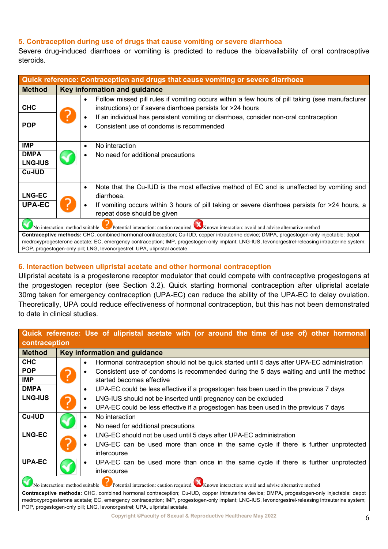# **5. Contraception during use of drugs that cause vomiting or severe diarrhoea**

Severe drug-induced diarrhoea or vomiting is predicted to reduce the bioavailability of oral contraceptive steroids.

| Quick reference: Contraception and drugs that cause vomiting or severe diarrhoea                                                                                                                                                                                                                                                                                          |                                                                                                                                                                                                                                                                                                                   |  |  |  |
|---------------------------------------------------------------------------------------------------------------------------------------------------------------------------------------------------------------------------------------------------------------------------------------------------------------------------------------------------------------------------|-------------------------------------------------------------------------------------------------------------------------------------------------------------------------------------------------------------------------------------------------------------------------------------------------------------------|--|--|--|
| Key information and guidance<br><b>Method</b>                                                                                                                                                                                                                                                                                                                             |                                                                                                                                                                                                                                                                                                                   |  |  |  |
| <b>CHC</b><br><b>POP</b>                                                                                                                                                                                                                                                                                                                                                  | Follow missed pill rules if vomiting occurs within a few hours of pill taking (see manufacturer<br>$\bullet$<br>instructions) or if severe diarrhoea persists for >24 hours<br>If an individual has persistent vomiting or diarrhoea, consider non-oral contraception<br>Consistent use of condoms is recommended |  |  |  |
| <b>IMP</b><br><b>DMPA</b><br><b>LNG-IUS</b><br><b>Cu-IUD</b>                                                                                                                                                                                                                                                                                                              | No interaction<br>٠<br>No need for additional precautions                                                                                                                                                                                                                                                         |  |  |  |
| <b>LNG-EC</b><br><b>UPA-EC</b>                                                                                                                                                                                                                                                                                                                                            | Note that the Cu-IUD is the most effective method of EC and is unaffected by vomiting and<br>$\bullet$<br>diarrhoea.<br>If vomiting occurs within 3 hours of pill taking or severe diarrhoea persists for >24 hours, a<br>repeat dose should be given                                                             |  |  |  |
| No interaction: method suitable Potential interaction: caution required Known interaction: avoid and advise alternative method                                                                                                                                                                                                                                            |                                                                                                                                                                                                                                                                                                                   |  |  |  |
| Contraceptive methods: CHC, combined hormonal contraception; Cu-IUD, copper intrauterine device; DMPA, progestogen-only injectable: depot<br>medroxyprogesterone acetate; EC, emergency contraception; IMP, progestogen-only implant; LNG-IUS, levonorgestrel-releasing intrauterine system;<br>POP, progestogen-only pill; LNG, levonorgestrel; UPA, ulipristal acetate. |                                                                                                                                                                                                                                                                                                                   |  |  |  |

# **6. Interaction between ulipristal acetate and other hormonal contraception**

Ulipristal acetate is a progesterone receptor modulator that could compete with contraceptive progestogens at the progestogen receptor (see Section 3.2). Quick starting hormonal contraception after ulipristal acetate 30mg taken for emergency contraception (UPA-EC) can reduce the ability of the UPA-EC to delay ovulation. Theoretically, UPA could reduce effectiveness of hormonal contraception, but this has not been demonstrated to date in clinical studies.

| Quick reference: Use of ulipristal acetate with (or around the time of use of) other hormonal                                                   |                                     |                                                                                                      |  |  |
|-------------------------------------------------------------------------------------------------------------------------------------------------|-------------------------------------|------------------------------------------------------------------------------------------------------|--|--|
| contraception                                                                                                                                   |                                     |                                                                                                      |  |  |
| <b>Method</b>                                                                                                                                   | <b>Key information and guidance</b> |                                                                                                      |  |  |
| <b>CHC</b>                                                                                                                                      |                                     | Hormonal contraception should not be quick started until 5 days after UPA-EC administration<br>٠     |  |  |
| <b>POP</b>                                                                                                                                      |                                     | Consistent use of condoms is recommended during the 5 days waiting and until the method<br>$\bullet$ |  |  |
| <b>IMP</b>                                                                                                                                      | ?                                   | started becomes effective                                                                            |  |  |
| <b>DMPA</b>                                                                                                                                     |                                     | UPA-EC could be less effective if a progestogen has been used in the previous 7 days<br>$\bullet$    |  |  |
| <b>LNG-IUS</b>                                                                                                                                  |                                     | LNG-IUS should not be inserted until pregnancy can be excluded<br>$\bullet$                          |  |  |
|                                                                                                                                                 |                                     | UPA-EC could be less effective if a progestogen has been used in the previous 7 days<br>$\bullet$    |  |  |
| <b>Cu-IUD</b>                                                                                                                                   |                                     | No interaction<br>٠                                                                                  |  |  |
|                                                                                                                                                 |                                     | No need for additional precautions<br>$\bullet$                                                      |  |  |
| <b>LNG-EC</b>                                                                                                                                   |                                     | LNG-EC should not be used until 5 days after UPA-EC administration<br>$\bullet$                      |  |  |
|                                                                                                                                                 |                                     | LNG-EC can be used more than once in the same cycle if there is further unprotected                  |  |  |
|                                                                                                                                                 |                                     | intercourse                                                                                          |  |  |
| <b>UPA-EC</b>                                                                                                                                   |                                     | UPA-EC can be used more than once in the same cycle if there is further unprotected                  |  |  |
|                                                                                                                                                 |                                     | intercourse                                                                                          |  |  |
| No interaction: method suitable Potential interaction: caution required Known interaction: avoid and advise alternative method                  |                                     |                                                                                                      |  |  |
| Contraceptive methods: CHC, combined hormonal contraception; Cu-IUD, copper intrauterine device; DMPA, progestogen-only injectable: depot       |                                     |                                                                                                      |  |  |
| medroxyprogesterone acetate; EC, emergency contraception; IMP, progestogen-only implant; LNG-IUS, levonorgestrel-releasing intrauterine system; |                                     |                                                                                                      |  |  |
| POP, progestogen-only pill; LNG, levonorgestrel; UPA, ulipristal acetate.                                                                       |                                     |                                                                                                      |  |  |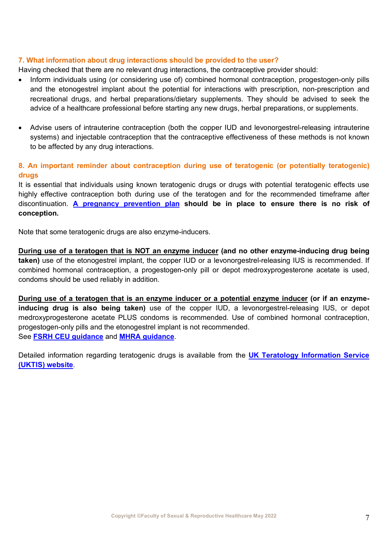### **7. What information about drug interactions should be provided to the user?**

Having checked that there are no relevant drug interactions, the contraceptive provider should:

- Inform individuals using (or considering use of) combined hormonal contraception, progestogen-only pills and the etonogestrel implant about the potential for interactions with prescription, non-prescription and recreational drugs, and herbal preparations/dietary supplements. They should be advised to seek the advice of a healthcare professional before starting any new drugs, herbal preparations, or supplements.
- Advise users of intrauterine contraception (both the copper IUD and levonorgestrel-releasing intrauterine systems) and injectable contraception that the contraceptive effectiveness of these methods is not known to be affected by any drug interactions.

# **8. An important reminder about contraception during use of teratogenic (or potentially teratogenic) drugs**

It is essential that individuals using known teratogenic drugs or drugs with potential teratogenic effects use highly effective contraception both during use of the teratogen and for the recommended timeframe after discontinuation. **[A pregnancy prevention plan](https://www.gov.uk/guidance/valproate-use-by-women-and-girls) should be in place to ensure there is no risk of conception.** 

Note that some teratogenic drugs are also enzyme-inducers.

**During use of a teratogen that is NOT an enzyme inducer (and no other enzyme-inducing drug being taken)** use of the etonogestrel implant, the copper IUD or a levonorgestrel-releasing IUS is recommended. If combined hormonal contraception, a progestogen-only pill or depot medroxyprogesterone acetate is used, condoms should be used reliably in addition.

**During use of a teratogen that is an enzyme inducer or a potential enzyme inducer (or if an enzymeinducing drug is also being taken)** use of the copper IUD, a levonorgestrel-releasing IUS, or depot medroxyprogesterone acetate PLUS condoms is recommended. Use of combined hormonal contraception, progestogen-only pills and the etonogestrel implant is not recommended. See **[FSRH CEU guidance](https://www.fsrh.org/documents/fsrh-ceu-statement-contraception-for-women-using-known/)** and **[MHRA guidance](https://www.gov.uk/drug-safety-update/medicines-with-teratogenic-potential-what-is-effective-contraception-and-how-often-is-pregnancy-testing-needed)**.

Detailed information regarding teratogenic drugs is available from the **[UK Teratology Information Service](http://www.uktis.org/)  [\(UKTIS\) website](http://www.uktis.org/)***.*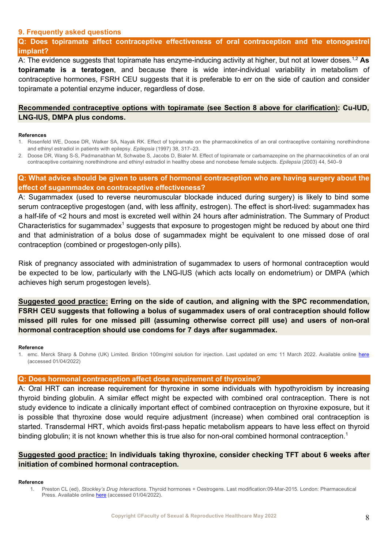#### <span id="page-7-0"></span>**9. Frequently asked questions**

**Q: Does topiramate affect contraceptive effectiveness of oral contraception and the etonogestrel implant?**

A: The evidence suggests that topiramate has enzyme-inducing activity at higher, but not at lower doses.1,2 **As topiramate is a teratogen**, and because there is wide inter-individual variability in metabolism of contraceptive hormones, FSRH CEU suggests that it is preferable to err on the side of caution and consider topiramate a potential enzyme inducer, regardless of dose.

#### **Recommended contraceptive options with topiramate (see Section 8 above for clarification): Cu-IUD, LNG-IUS, DMPA plus condoms.**

#### **References**

1. Rosenfeld WE, Doose DR, Walker SA, Nayak RK. Effect of topiramate on the pharmacokinetics of an oral contraceptive containing norethindrone and ethinyl estradiol in patients with epilepsy. *Epilepsia* (1997) 38, 317–23.

2. Doose DR, Wang S-S, Padmanabhan M, Schwabe S, Jacobs D, Bialer M. Effect of topiramate or carbamazepine on the pharmacokinetics of an oral contraceptive containing norethindrone and ethinyl estradiol in healthy obese and nonobese female subjects. *Epilepsia* (2003) 44, 540–9

#### **Q: What advice should be given to users of hormonal contraception who are having surgery about the effect of sugammadex on contraceptive effectiveness?**

A: Sugammadex (used to reverse neuromuscular blockade induced during surgery) is likely to bind some serum contraceptive progestogen (and, with less affinity, estrogen). The effect is short-lived: sugammadex has a half-life of <2 hours and most is excreted well within 24 hours after administration. The Summary of Product Characteristics for sugammadex<sup>1</sup> suggests that exposure to progestogen might be reduced by about one third and that administration of a bolus dose of sugammadex might be equivalent to one missed dose of oral contraception (combined or progestogen-only pills).

Risk of pregnancy associated with administration of sugammadex to users of hormonal contraception would be expected to be low, particularly with the LNG-IUS (which acts locally on endometrium) or DMPA (which achieves high serum progestogen levels).

**Suggested good practice: Erring on the side of caution, and aligning with the SPC recommendation, FSRH CEU suggests that following a bolus of sugammadex users of oral contraception should follow missed pill rules for one missed pill (assuming otherwise correct pill use) and users of non-oral hormonal contraception should use condoms for 7 days after sugammadex.**

#### **Reference**

1. emc. Merck Sharp & Dohme (UK) Limited. Bridion 100mg/ml solution for injection. Last updated on emc 11 March 2022. Available online [here](https://www.medicines.org.uk/EMC/medicine/21299/SPC/Bridion+100+mg+ml+solution+for+injection/#gref) (accessed 01/04/2022)

#### **Q: Does hormonal contraception affect dose requirement of thyroxine?**

A: Oral HRT can increase requirement for thyroxine in some individuals with hypothyroidism by increasing thyroid binding globulin. A similar effect might be expected with combined oral contraception. There is not study evidence to indicate a clinically important effect of combined contraception on thyroxine exposure, but it is possible that thyroxine dose would require adjustment (increase) when combined oral contraception is started. Transdermal HRT, which avoids first-pass hepatic metabolism appears to have less effect on thyroid binding globulin; it is not known whether this is true also for non-oral combined hormonal contraception.<sup>1</sup>

### **Suggested good practice: In individuals taking thyroxine, consider checking TFT about 6 weeks after initiation of combined hormonal contraception.**

#### **Reference**

1. Preston CL (ed), *Stockley's Drug Interactions*. Thyroid hormones + Oestrogens. Last modification:09-Mar-2015. London: Pharmaceutical Press. Available onlin[e here](https://www.medicinescomplete.com/#/content/stockley/x38-4082) (accessed 01/04/2022).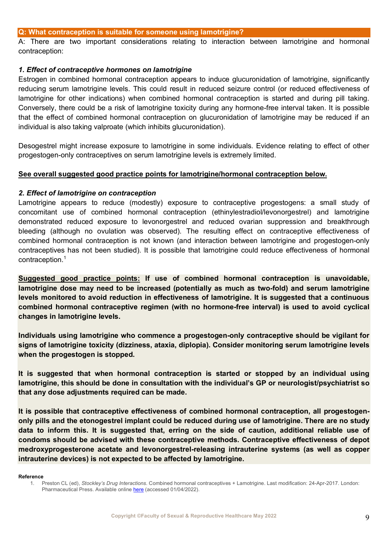#### **Q: What contraception is suitable for someone using lamotrigine?**

A: There are two important considerations relating to interaction between lamotrigine and hormonal contraception:

#### *1. Effect of contraceptive hormones on lamotrigine*

Estrogen in combined hormonal contraception appears to induce glucuronidation of lamotrigine, significantly reducing serum lamotrigine levels. This could result in reduced seizure control (or reduced effectiveness of lamotrigine for other indications) when combined hormonal contraception is started and during pill taking. Conversely, there could be a risk of lamotrigine toxicity during any hormone-free interval taken. It is possible that the effect of combined hormonal contraception on glucuronidation of lamotrigine may be reduced if an individual is also taking valproate (which inhibits glucuronidation).

Desogestrel might increase exposure to lamotrigine in some individuals. Evidence relating to effect of other progestogen-only contraceptives on serum lamotrigine levels is extremely limited.

#### **See overall suggested good practice points for lamotrigine/hormonal contraception below.**

#### *2. Effect of lamotrigine on contraception*

Lamotrigine appears to reduce (modestly) exposure to contraceptive progestogens: a small study of concomitant use of combined hormonal contraception (ethinylestradiol/levonorgestrel) and lamotrigine demonstrated reduced exposure to levonorgestrel and reduced ovarian suppression and breakthrough bleeding (although no ovulation was observed). The resulting effect on contraceptive effectiveness of combined hormonal contraception is not known (and interaction between lamotrigine and progestogen-only contraceptives has not been studied). It is possible that lamotrigine could reduce effectiveness of hormonal contraception.1

**Suggested good practice points: If use of combined hormonal contraception is unavoidable, lamotrigine dose may need to be increased (potentially as much as two-fold) and serum lamotrigine levels monitored to avoid reduction in effectiveness of lamotrigine. It is suggested that a continuous combined hormonal contraceptive regimen (with no hormone-free interval) is used to avoid cyclical changes in lamotrigine levels.** 

**Individuals using lamotrigine who commence a progestogen-only contraceptive should be vigilant for signs of lamotrigine toxicity (dizziness, ataxia, diplopia). Consider monitoring serum lamotrigine levels when the progestogen is stopped.**

**It is suggested that when hormonal contraception is started or stopped by an individual using lamotrigine, this should be done in consultation with the individual's GP or neurologist/psychiatrist so that any dose adjustments required can be made.**

**It is possible that contraceptive effectiveness of combined hormonal contraception, all progestogenonly pills and the etonogestrel implant could be reduced during use of lamotrigine. There are no study data to inform this. It is suggested that, erring on the side of caution, additional reliable use of condoms should be advised with these contraceptive methods. Contraceptive effectiveness of depot medroxyprogesterone acetate and levonorgestrel-releasing intrauterine systems (as well as copper intrauterine devices) is not expected to be affected by lamotrigine.** 

#### **Reference**

<sup>1.</sup> Preston CL (ed), *Stockley's Drug Interactions*. Combined hormonal contraceptives + Lamotrigine. Last modification: 24-Apr-2017. London: Pharmaceutical Press. Available online [here](https://www.medicinescomplete.com/#/content/stockley/x12-2775) (accessed 01/04/2022).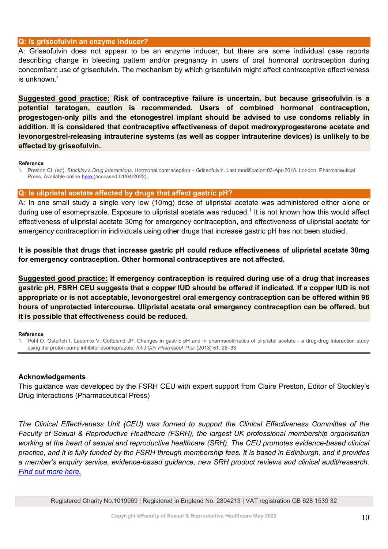#### **Q: Is griseofulvin an enzyme inducer?**

A: Griseofulvin does not appear to be an enzyme inducer, but there are some individual case reports describing change in bleeding pattern and/or pregnancy in users of oral hormonal contraception during concomitant use of griseofulvin. The mechanism by which griseofulvin might affect contraceptive effectiveness is unknown $1$ 

**Suggested good practice: Risk of contraceptive failure is uncertain, but because griseofulvin is a potential teratogen, caution is recommended. Users of combined hormonal contraception, progestogen-only pills and the etonogestrel implant should be advised to use condoms reliably in addition. It is considered that contraceptive effectiveness of depot medroxyprogesterone acetate and levonorgestrel-releasing intrauterine systems (as well as copper intrauterine devices) is unlikely to be affected by griseofulvin.** 

#### **Reference**

1. Preston CL (ed), *Stockley's Drug Interactions*. Hormonal contraception + Griseofulvin. Last modification:03-Apr-2018. London: Pharmaceutical Press. Available onlin[e here](https://www.medicinescomplete.com/#/content/stockley/x12-0685) (accessed 01/04/2022).

#### **Q: Is ulipristal acetate affected by drugs that affect gastric pH?**

A: In one small study a single very low (10mg) dose of ulipristal acetate was administered either alone or during use of esomeprazole. Exposure to ulipristal acetate was reduced.<sup>1</sup> It is not known how this would affect effectiveness of ulipristal acetate 30mg for emergency contraception, and effectiveness of ulipristal acetate for emergency contraception in individuals using other drugs that increase gastric pH has not been studied.

**It is possible that drugs that increase gastric pH could reduce effectiveness of ulipristal acetate 30mg for emergency contraception. Other hormonal contraceptives are not affected.** 

**Suggested good practice: If emergency contraception is required during use of a drug that increases gastric pH, FSRH CEU suggests that a copper IUD should be offered if indicated. If a copper IUD is not appropriate or is not acceptable, levonorgestrel oral emergency contraception can be offered within 96 hours of unprotected intercourse. Ulipristal acetate oral emergency contraception can be offered, but it is possible that effectiveness could be reduced.**

#### **Reference**

1. Pohl O, Osterloh I, Lecomte V, Gotteland JP. Changes in gastric pH and in pharmacokinetics of ulipristal acetate - a drug-drug interaction study using the proton pump inhibitor esomeprazole. *Int J Clin Pharmacol Ther* (2013) 51, 26–33

### **Acknowledgements**

This guidance was developed by the FSRH CEU with expert support from Claire Preston, Editor of Stockley's Drug Interactions (Pharmaceutical Press)

*The Clinical Effectiveness Unit (CEU) was formed to support the Clinical Effectiveness Committee of the Faculty of Sexual & Reproductive Healthcare (FSRH), the largest UK professional membership organisation working at the heart of sexual and reproductive healthcare (SRH). The CEU promotes evidence-based clinical practice, and it is fully funded by the FSRH through membership fees. It is based in Edinburgh, and it provides a member's enquiry service, evidence-based guidance, new SRH product reviews and clinical audit/research. [Find out more here.](https://www.fsrh.org/about-us/about-the-clinical-effectiveness-unit-ceu/)*